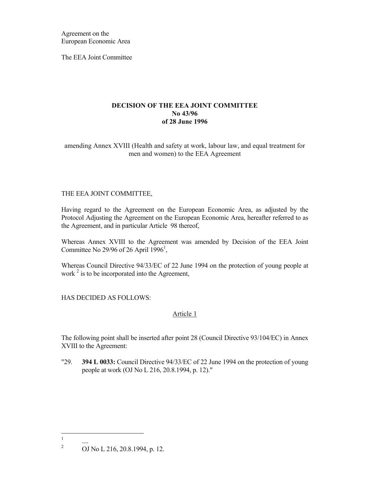Agreement on the European Economic Area

The EEA Joint Committee

### **DECISION OF THE EEA JOINT COMMITTEE No 43/96 of 28 June 1996**

amending Annex XVIII (Health and safety at work, labour law, and equal treatment for men and women) to the EEA Agreement

### THE EEA JOINT COMMITTEE,

Having regard to the Agreement on the European Economic Area, as adjusted by the Protocol Adjusting the Agreement on the European Economic Area, hereafter referred to as the Agreement, and in particular Article 98 thereof,

Whereas Annex XVIII to the Agreement was amended by Decision of the EEA Joint Committee No 29/96 of 26 April  $1996^1$ ,

Whereas Council Directive 94/33/EC of 22 June 1994 on the protection of young people at work  $2$  is to be incorporated into the Agreement,

# HAS DECIDED AS FOLLOWS:

# Article 1

The following point shall be inserted after point 28 (Council Directive 93/104/EC) in Annex XVIII to the Agreement:

"29. **394 L 0033:** Council Directive 94/33/EC of 22 June 1994 on the protection of young people at work (OJ No L 216, 20.8.1994, p. 12)."

 $\frac{1}{1}$ ....

<sup>2</sup> OJ No L 216, 20.8.1994, p. 12.